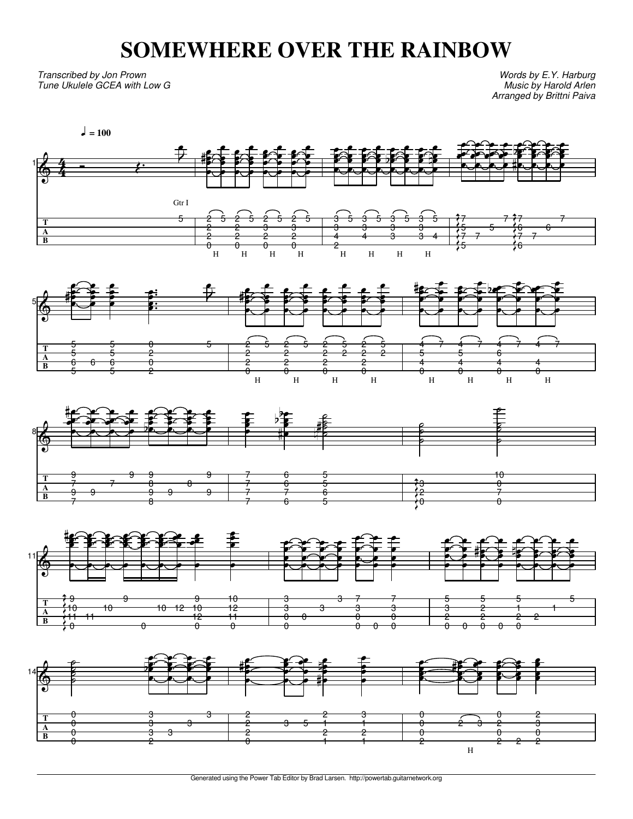# **SOMEWHERE OVER THE RAINBOW**

Transcribed by Jon Prown Tune Ukulele GCEA with Low G

**T A B**

5

6

6

5

2

 $\theta$ 

6

Words by E.Y. Harburg Music by Harold Arlen Arranged by Brittni Paiva

 $\frac{1}{\Phi}$ **T A B** 4 4  $\sqrt{ } = 100$ j Gtr I e 5  $\overline{z}$ V H 2 V 2 i<br>P 2 P<br>P  $\overline{a}$ ‡ e 5 V V V V H 2 V 2 i<br>P 2  $\bullet$  $\theta$ e 5 V V V V H 2 l<br>P 3 i<br>P 2  $\bullet$  $\theta$ e 5 É V V e<br>B H 2 l 3 i<br>P 2  $\bullet$  $\theta$ e 5 l<br>E **P** V V H 3 i 3 i<br>Ve 4 e<br>P 2 e 5 V V e<br>P V H 3 i 3 i<br>Vel 4 e<br>P e 5 e<br>S V e<br>P V H 3 i 3 i<br>Vel  $\overline{a}$ e<br>V <u>E</u> V 5 e<br>S V e<br>P V H 3 i 3 i<br>Vel 3 e e V 5 e<br>S V 4 e<br>P f e 7  $\frac{2}{\pi}$ 5 l<br>S 7 V 5 ,<br>≯ K **Z** )<br>}<br>? )<br>S **K** V Y<br>Y 7 V V V 5 V V e 7 VV V V 7 V 6 F 7 P 6 G K K )<br>Y **K** K e  $\frac{1}{\mathbb{H}}$ V i<br>S i<br>Ver 7 V V V 6 F P V 7 V V V  $\overrightarrow{5}$ e 5 V V F<br>P đ V V V F<br>P e 5 V V P<br>P ,<br>8  $\theta$ V i<br>V i<br>Vel e 5  $\overline{z}$ V 2 V V i<br>P g V 5 l<br>8 P i<br>P V 2 V V i<br>P V 5 i<br>2 **V** i<br>P e<br>E 2 V V i<br>P e 5 V V **P** .<br>ما 2 V P i<br>P e 5 V **V** i<br>P l<br>6 4 V i<br>P V ⋕ e 7 V V E l<br>6 4 V i<br>P E e 7 V **P** V e 4 e<br>E V V e V 7 V V E<br>P e 4 e E<br>E E<br>P V 7 V **P** V



2

2

2

2

5

5

6

4

4

4

4

2

2

2

2

2

2



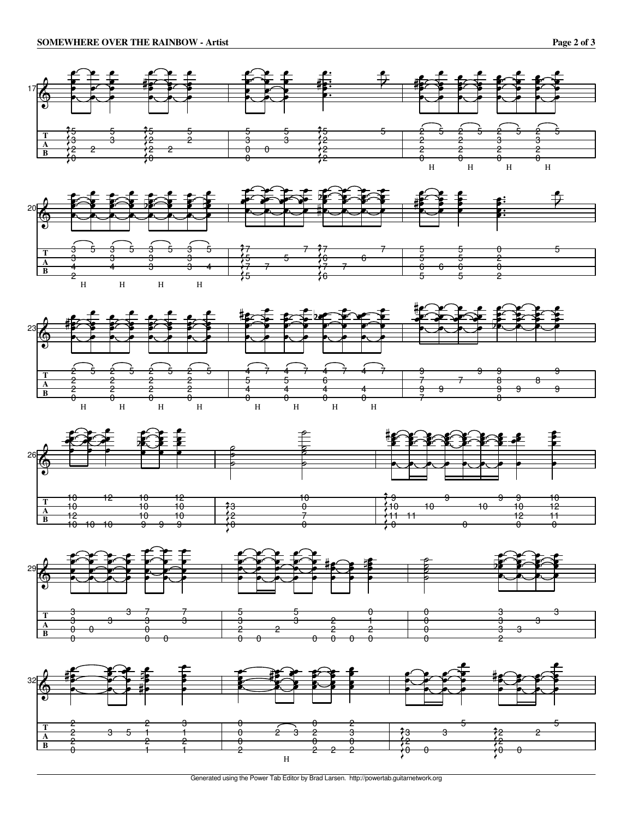











Generated using the Power Tab Editor by Brad Larsen. http://powertab.guitarnetwork.org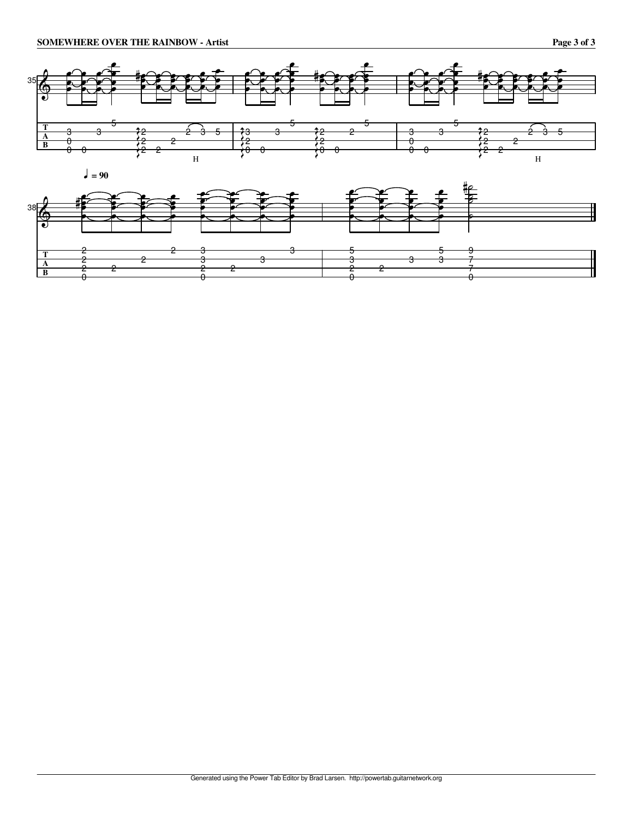